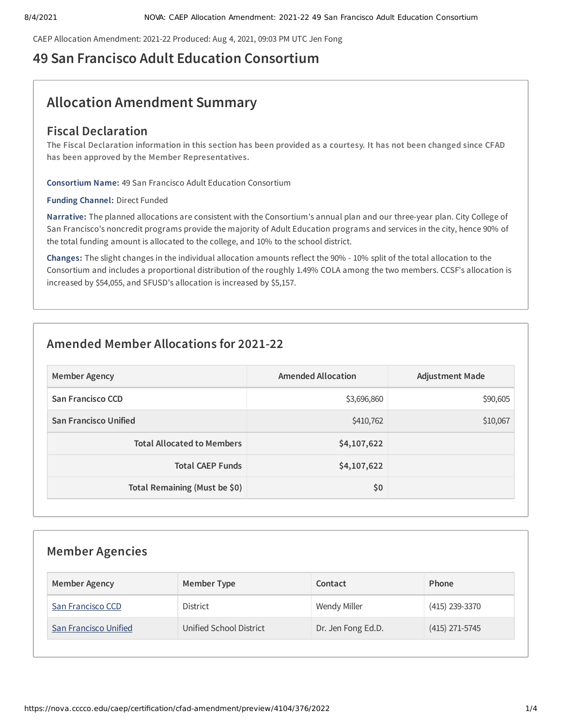CAEP Allocation Amendment: 2021-22 Produced: Aug 4, 2021, 09:03 PM UTC Jen Fong

# **49 San Francisco Adult Education Consortium**

# **Allocation Amendment Summary**

# **Fiscal Declaration**

The Fiscal Declaration information in this section has been provided as a courtesy. It has not been changed since CFAD **has been approved by the Member Representatives.**

**Consortium Name:** 49 San Francisco Adult Education Consortium

**Funding Channel:** Direct Funded

**Narrative:** The planned allocations are consistent with the Consortium's annual plan and our three-year plan. City College of San Francisco's noncredit programs provide the majority of Adult Education programs and services in the city, hence 90% of the total funding amount is allocated to the college, and 10% to the school district.

**Changes:** The slight changes in the individual allocation amounts reflect the 90% - 10% split of the total allocation to the Consortium and includes a proportional distribution of the roughly 1.49% COLA among the two members. CCSF's allocation is increased by \$54,055, and SFUSD's allocation is increased by \$5,157.

# **Amended Member Allocations for 2021-22**

| <b>Member Agency</b>              | Amended Allocation | <b>Adjustment Made</b> |
|-----------------------------------|--------------------|------------------------|
| San Francisco CCD                 | \$3,696,860        | \$90,605               |
| <b>San Francisco Unified</b>      | \$410,762          | \$10,067               |
| <b>Total Allocated to Members</b> | \$4,107,622        |                        |
| <b>Total CAEP Funds</b>           | \$4,107,622        |                        |
| Total Remaining (Must be \$0)     | \$0                |                        |

| <b>Member Agencies</b> |                         |                     |                  |  |
|------------------------|-------------------------|---------------------|------------------|--|
| <b>Member Agency</b>   | <b>Member Type</b>      | Contact             | Phone            |  |
| San Francisco CCD      | <b>District</b>         | <b>Wendy Miller</b> | (415) 239-3370   |  |
| San Francisco Unified  | Unified School District | Dr. Jen Fong Ed.D.  | $(415)$ 271-5745 |  |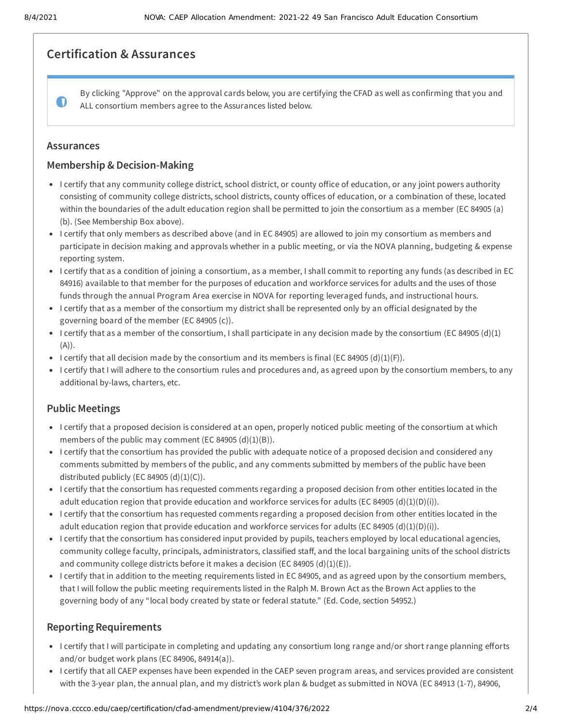## **Certification & Assurances**

By clicking "Approve" on the approval cards below, you are certifying the CFAD as well as confirming that you and  $\bullet$ ALL consortium members agree to the Assurances listed below.

#### **Assurances**

## **Membership & Decision-Making**

- I certify that any community college district, school district, or county office of education, or any joint powers authority consisting of community college districts, school districts, county offices of education, or a combination of these, located within the boundaries of the adult education region shall be permitted to join the consortium as a member (EC 84905 (a) (b). (See Membership Box above).
- I certify that only members as described above (and in EC 84905) are allowed to join my consortium as members and participate in decision making and approvals whether in a public meeting, or via the NOVA planning, budgeting & expense reporting system.
- I certify that as a condition of joining a consortium, as a member, I shall commit to reporting any funds (as described in EC 84916) available to that member for the purposes of education and workforce services for adults and the uses of those funds through the annual Program Area exercise in NOVA for reporting leveraged funds, and instructional hours.
- I certify that as a member of the consortium my district shall be represented only by an official designated by the governing board of the member (EC 84905 (c)).
- I certify that as a member of the consortium, I shall participate in any decision made by the consortium (EC 84905 (d)(1)  $(A)).$
- I certify that all decision made by the consortium and its members is final (EC 84905 (d)(1)(F)).
- I certify that I will adhere to the consortium rules and procedures and, as agreed upon by the consortium members, to any additional by-laws, charters, etc.

## **Public Meetings**

- I certify that a proposed decision is considered at an open, properly noticed public meeting of the consortium at which members of the public may comment (EC 84905  $(d)(1)(B)$ ).
- I certify that the consortium has provided the public with adequate notice of a proposed decision and considered any comments submitted by members of the public, and any comments submitted by members of the public have been distributed publicly (EC 84905  $(d)(1)(C)$ ).
- I certify that the consortium has requested comments regarding a proposed decision from other entities located in the adult education region that provide education and workforce services for adults (EC 84905 (d)(1)(D)(i)).
- I certify that the consortium has requested comments regarding a proposed decision from other entities located in the adult education region that provide education and workforce services for adults (EC 84905 (d)(1)(D)(i)).
- I certify that the consortium has considered input provided by pupils, teachers employed by local educational agencies, community college faculty, principals, administrators, classified staff, and the local bargaining units of the school districts and community college districts before it makes a decision (EC 84905  $(d)(1)(E)$ ).
- I certify that in addition to the meeting requirements listed in EC 84905, and as agreed upon by the consortium members, that I will follow the public meeting requirements listed in the Ralph M. Brown Act as the Brown Act applies to the governing body of any "local body created by state or federal statute." (Ed. Code, section 54952.)

## **Reporting Requirements**

- I certify that I will participate in completing and updating any consortium long range and/or short range planning efforts and/or budget work plans (EC 84906, 84914(a)).
- I certify that all CAEP expenses have been expended in the CAEP seven program areas, and services provided are consistent with the 3-year plan, the annual plan, and my district's work plan & budget as submitted in NOVA (EC 84913 (1-7), 84906,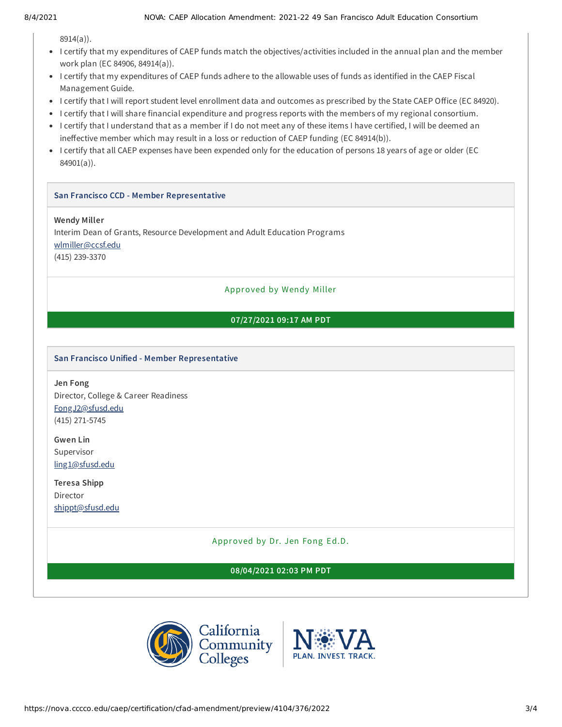8914(a)).

- I certify that my expenditures of CAEP funds match the objectives/activities included in the annual plan and the member work plan (EC 84906, 84914(a)).
- I certify that my expenditures of CAEP funds adhere to the allowable uses of funds as identified in the CAEP Fiscal Management Guide.
- I certify that I will report student level enrollment data and outcomes as prescribed by the State CAEP Office (EC 84920).
- I certify that I will share financial expenditure and progress reports with the members of my regional consortium.
- I certify that I understand that as a member if I do not meet any of these items I have certified, I will be deemed an ineffective member which may result in a loss or reduction of CAEP funding (EC 84914(b)).
- I certify that all CAEP expenses have been expended only for the education of persons 18 years of age or older (EC 84901(a)).

#### **San Francisco CCD - Member Representative**

#### **Wendy Miller**

Interim Dean of Grants, Resource Development and Adult Education Programs [wlmiller@ccsf.edu](mailto:wlmiller@ccsf.edu) (415) 239-3370

Approved by Wendy Miller

## **07/27/2021 09:17 AM PDT**

#### **San Francisco Unified - Member Representative**

**Jen Fong** Director, College & Career Readiness [FongJ2@sfusd.edu](mailto:FongJ2@sfusd.edu) (415) 271-5745

**Gwen Lin** Supervisor [ling1@sfusd.edu](mailto:ling1@sfusd.edu)

**Teresa Shipp** Director [shippt@sfusd.edu](mailto:shippt@sfusd.edu)

Approved by Dr. Jen Fong Ed.D.

**08/04/2021 02:03 PM PDT**